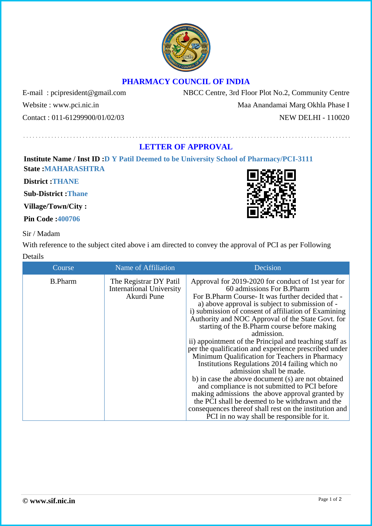## **PHARMACY COUNCIL OF INDIA**

Website : www.pci.nic.in Maa Anandamai Marg Okhla Phase I Contact : 011-61299900/01/02/03 NEW DELHI - 110020

E-mail: pcipresident@gmail.com NBCC Centre, 3rd Floor Plot No.2, Community Centre

### **LETTER OF APPROVAL**

# **Institute Name / Inst ID :D Y Patil Deemed to be University School of Pharmacy/PCI-3111**

## **State :MAHARASHTRA**

**District :THANE**

**Sub-District :Thane**

**Village/Town/City :**

**Pin Code :400706**

#### Sir / Madam

With reference to the subject cited above i am directed to convey the approval of PCI as per Following Details

| Course         | Name of Affiliation                                                      | Decision                                                                                                                                                                                                                                                                                                                                                                                                                                                                                                                                                                                                                                                                                                                                                                                                                                                                                                                                  |
|----------------|--------------------------------------------------------------------------|-------------------------------------------------------------------------------------------------------------------------------------------------------------------------------------------------------------------------------------------------------------------------------------------------------------------------------------------------------------------------------------------------------------------------------------------------------------------------------------------------------------------------------------------------------------------------------------------------------------------------------------------------------------------------------------------------------------------------------------------------------------------------------------------------------------------------------------------------------------------------------------------------------------------------------------------|
| <b>B.Pharm</b> | The Registrar DY Patil<br><b>International University</b><br>Akurdi Pune | Approval for 2019-2020 for conduct of 1st year for<br>60 admissions For B.Pharm<br>For B.Pharm Course-It was further decided that -<br>a) above approval is subject to submission of -<br>i) submission of consent of affiliation of Examining<br>Authority and NOC Approval of the State Govt. for<br>starting of the B.Pharm course before making<br>admission.<br>ii) appointment of the Principal and teaching staff as<br>per the qualification and experience prescribed under<br>Minimum Qualification for Teachers in Pharmacy<br>Institutions Regulations 2014 failing which no<br>admission shall be made.<br>b) in case the above document (s) are not obtained<br>and compliance is not submitted to PCI before<br>making admissions the above approval granted by<br>the PCI shall be deemed to be withdrawn and the<br>consequences thereof shall rest on the institution and<br>PCI in no way shall be responsible for it. |